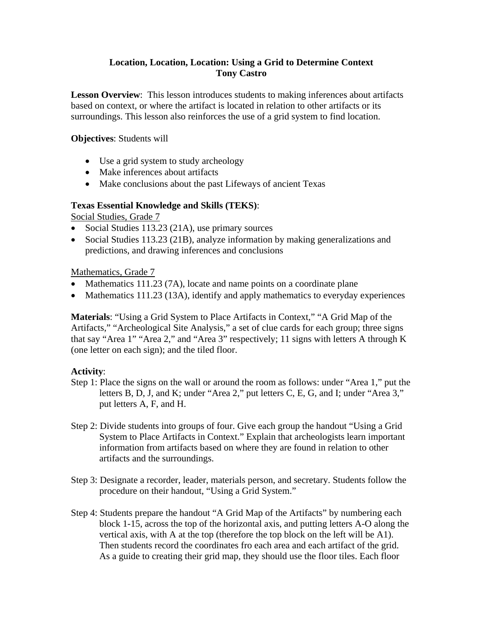# **Location, Location, Location: Using a Grid to Determine Context Tony Castro**

**Lesson Overview**: This lesson introduces students to making inferences about artifacts based on context, or where the artifact is located in relation to other artifacts or its surroundings. This lesson also reinforces the use of a grid system to find location.

#### **Objectives**: Students will

- Use a grid system to study archeology
- Make inferences about artifacts
- Make conclusions about the past Lifeways of ancient Texas

# **Texas Essential Knowledge and Skills (TEKS)**:

Social Studies, Grade 7

- Social Studies 113.23 (21A), use primary sources
- Social Studies 113.23 (21B), analyze information by making generalizations and predictions, and drawing inferences and conclusions

# Mathematics, Grade 7

- Mathematics 111.23 (7A), locate and name points on a coordinate plane
- Mathematics 111.23 (13A), identify and apply mathematics to everyday experiences

**Materials**: "Using a Grid System to Place Artifacts in Context," "A Grid Map of the Artifacts," "Archeological Site Analysis," a set of clue cards for each group; three signs that say "Area 1" "Area 2," and "Area 3" respectively; 11 signs with letters A through K (one letter on each sign); and the tiled floor.

# **Activity**:

- Step 1: Place the signs on the wall or around the room as follows: under "Area 1," put the letters B, D, J, and K; under "Area 2," put letters C, E, G, and I; under "Area 3," put letters A, F, and H.
- Step 2: Divide students into groups of four. Give each group the handout "Using a Grid System to Place Artifacts in Context." Explain that archeologists learn important information from artifacts based on where they are found in relation to other artifacts and the surroundings.
- Step 3: Designate a recorder, leader, materials person, and secretary. Students follow the procedure on their handout, "Using a Grid System."
- Step 4: Students prepare the handout "A Grid Map of the Artifacts" by numbering each block 1-15, across the top of the horizontal axis, and putting letters A-O along the vertical axis, with A at the top (therefore the top block on the left will be A1). Then students record the coordinates fro each area and each artifact of the grid. As a guide to creating their grid map, they should use the floor tiles. Each floor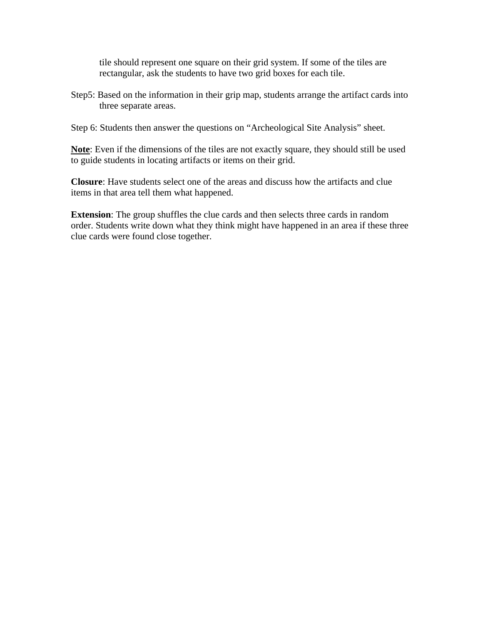tile should represent one square on their grid system. If some of the tiles are rectangular, ask the students to have two grid boxes for each tile.

Step5: Based on the information in their grip map, students arrange the artifact cards into three separate areas.

Step 6: Students then answer the questions on "Archeological Site Analysis" sheet.

**Note**: Even if the dimensions of the tiles are not exactly square, they should still be used to guide students in locating artifacts or items on their grid.

**Closure**: Have students select one of the areas and discuss how the artifacts and clue items in that area tell them what happened.

**Extension**: The group shuffles the clue cards and then selects three cards in random order. Students write down what they think might have happened in an area if these three clue cards were found close together.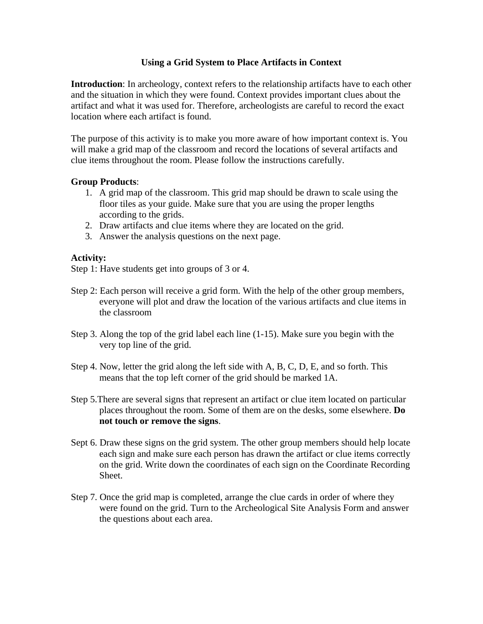### **Using a Grid System to Place Artifacts in Context**

**Introduction**: In archeology, context refers to the relationship artifacts have to each other and the situation in which they were found. Context provides important clues about the artifact and what it was used for. Therefore, archeologists are careful to record the exact location where each artifact is found.

The purpose of this activity is to make you more aware of how important context is. You will make a grid map of the classroom and record the locations of several artifacts and clue items throughout the room. Please follow the instructions carefully.

#### **Group Products**:

- 1. A grid map of the classroom. This grid map should be drawn to scale using the floor tiles as your guide. Make sure that you are using the proper lengths according to the grids.
- 2. Draw artifacts and clue items where they are located on the grid.
- 3. Answer the analysis questions on the next page.

#### **Activity:**

Step 1: Have students get into groups of 3 or 4.

- Step 2: Each person will receive a grid form. With the help of the other group members, everyone will plot and draw the location of the various artifacts and clue items in the classroom
- Step 3. Along the top of the grid label each line (1-15). Make sure you begin with the very top line of the grid.
- Step 4. Now, letter the grid along the left side with A, B, C, D, E, and so forth. This means that the top left corner of the grid should be marked 1A.
- Step 5.There are several signs that represent an artifact or clue item located on particular places throughout the room. Some of them are on the desks, some elsewhere. **Do not touch or remove the signs**.
- Sept 6. Draw these signs on the grid system. The other group members should help locate each sign and make sure each person has drawn the artifact or clue items correctly on the grid. Write down the coordinates of each sign on the Coordinate Recording Sheet.
- Step 7. Once the grid map is completed, arrange the clue cards in order of where they were found on the grid. Turn to the Archeological Site Analysis Form and answer the questions about each area.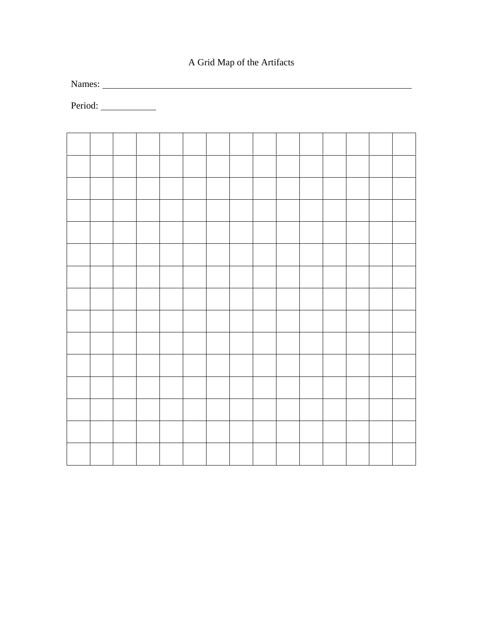# A Grid Map of the Artifacts

Names:

Period: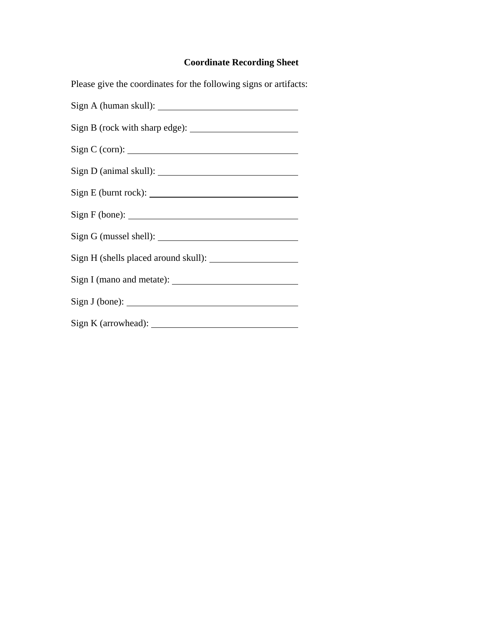# **Coordinate Recording Sheet**

| Please give the coordinates for the following signs or artifacts: |
|-------------------------------------------------------------------|
|                                                                   |
|                                                                   |
|                                                                   |
|                                                                   |
|                                                                   |
|                                                                   |
|                                                                   |
|                                                                   |
|                                                                   |
|                                                                   |
|                                                                   |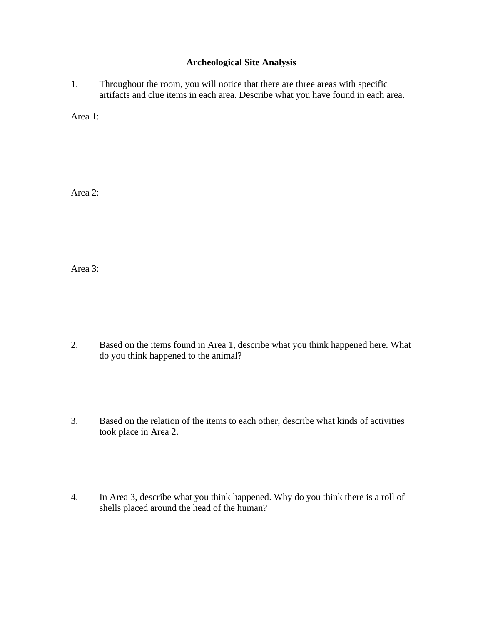# **Archeological Site Analysis**

1. Throughout the room, you will notice that there are three areas with specific artifacts and clue items in each area. Describe what you have found in each area.

Area 1:

Area 2:

Area 3:

- 2. Based on the items found in Area 1, describe what you think happened here. What do you think happened to the animal?
- 3. Based on the relation of the items to each other, describe what kinds of activities took place in Area 2.
- 4. In Area 3, describe what you think happened. Why do you think there is a roll of shells placed around the head of the human?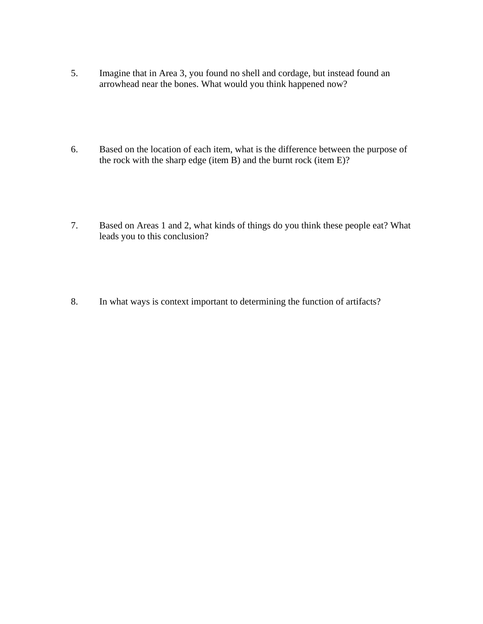- 5. Imagine that in Area 3, you found no shell and cordage, but instead found an arrowhead near the bones. What would you think happened now?
- 6. Based on the location of each item, what is the difference between the purpose of the rock with the sharp edge (item B) and the burnt rock (item E)?
- 7. Based on Areas 1 and 2, what kinds of things do you think these people eat? What leads you to this conclusion?
- 8. In what ways is context important to determining the function of artifacts?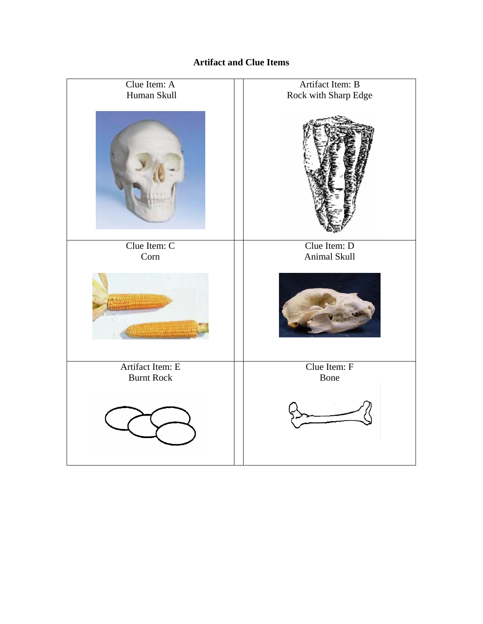# **Artifact and Clue Items**